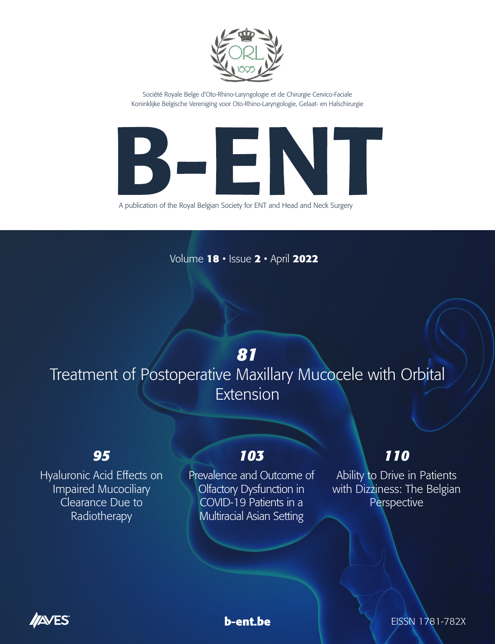

<span id="page-0-0"></span>Société Royale Belge d'Oto-Rhino-Laryngologie et de Chirurgie Cervico-Faciale Koninklijke Belgische Vereniging voor Oto-Rhino-Laryngologie, Gelaat- en Halschirurgie



A publication of the Royal Belgian Society for ENT and Head and Neck Surgery

Volume **18** • Issue **2** • April **2022**

# *81*

Treatment of Postoperative Maxillary Mucocele with Orbital Extension

## *95*

Hyaluronic Acid Effects on Impaired Mucociliary Clearance Due to Radiotherapy

## *103*

Prevalence and Outcome of Olfactory Dysfunction in COVID-19 Patients in a Multiracial Asian Setting

## *110*

Ability to Drive in Patients with Dizziness: The Belgian **Perspective** 





**b-ent.be EISSN 1781-782X**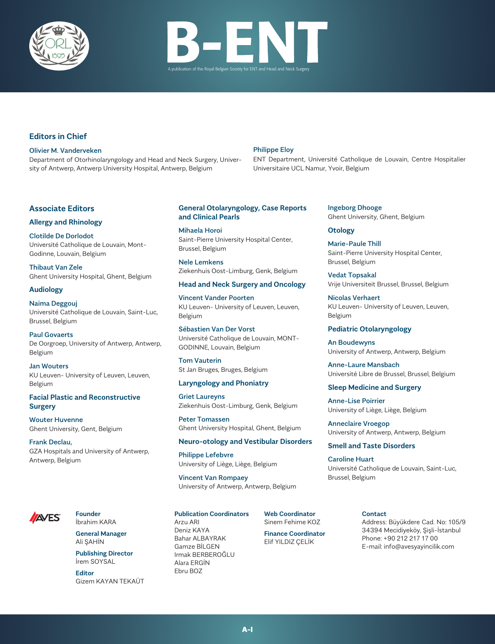



## **Editors in Chief**

#### Olivier M. Vanderveken

Department of Otorhinolaryngology and Head and Neck Surgery, University of Antwerp, Antwerp University Hospital, Antwerp, Belgium

### Philippe Eloy

ENT Department, Université Catholique de Louvain, Centre Hospitalier Universitaire UCL Namur, Yvoir, Belgium

## **Associate Editors**

#### **Allergy and Rhinology**

Clotilde De Dorlodot Université Catholique de Louvain, Mont-

Godinne, Louvain, Belgium Thibaut Van Zele Ghent University Hospital, Ghent, Belgium

## **Audiology**

Naima Deggouj Université Catholique de Louvain, Saint-Luc, Brussel, Belgium

Paul Govaerts De Oorgroep, University of Antwerp, Antwerp, Belgium

Jan Wouters KU Leuven- University of Leuven, Leuven, Belgium

## **Facial Plastic and Reconstructive Surgery**

Wouter Huvenne Ghent University, Gent, Belgium

Frank Declau, GZA Hospitals and University of Antwerp, Antwerp, Belgium



**Founder** İbrahim KARA

> **General Manager** Ali ŞAHİN

**Publishing Director** İrem SOYSAL

**Editor** Gizem KAYAN TEKAÜT

## **General Otolaryngology, Case Reports and Clinical Pearls**

Mihaela Horoi Saint-Pierre University Hospital Center, Brussel, Belgium

Nele Lemkens Ziekenhuis Oost-Limburg, Genk, Belgium

#### **Head and Neck Surgery and Oncology**

Vincent Vander Poorten KU Leuven- University of Leuven, Leuven, Belgium

Sébastien Van Der Vorst Université Catholique de Louvain, MONT-GODINNE, Louvain, Belgium

Tom Vauterin St Jan Bruges, Bruges, Belgium

## **Laryngology and Phoniatry**

Griet Laureyns Ziekenhuis Oost-Limburg, Genk, Belgium

Peter Tomassen Ghent University Hospital, Ghent, Belgium

#### **Neuro-otology and Vestibular Disorders**

Philippe Lefebvre University of Liège, Liège, Belgium

Vincent Van Rompaey University of Antwerp, Antwerp, Belgium

> **Web Coordinator** Sinem Fehime KOZ **Finance Coordinator** Elif YILDIZ ÇELİK

## **Publication Coordinators**

Arzu ARI Deniz KAYA Bahar ALBAYRAK Gamze BİLGEN Irmak BERBEROĞLU Alara ERGİN Ebru BOZ

Ingeborg Dhooge Ghent University, Ghent, Belgium

## **Otology**

Marie-Paule Thill Saint-Pierre University Hospital Center, Brussel, Belgium

Vedat Topsakal Vrije Universiteit Brussel, Brussel, Belgium

Nicolas Verhaert KU Leuven- University of Leuven, Leuven, Belgium

## **Pediatric Otolaryngology**

An Boudewyns University of Antwerp, Antwerp, Belgium

Anne-Laure Mansbach Université Libre de Brussel, Brussel, Belgium

### **Sleep Medicine and Surgery**

Anne-Lise Poirrier University of Liège, Liège, Belgium

Anneclaire Vroegop University of Antwerp, Antwerp, Belgium

#### **Smell and Taste Disorders**

Caroline Huart Université Catholique de Louvain, Saint-Luc, Brussel, Belgium

#### **Contact**

Address: Büyükdere Cad. No: 105/9 34394 Mecidiyeköy, Şişli-İstanbul Phone: +90 212 217 17 00 E-mail: info@avesyayincilik.com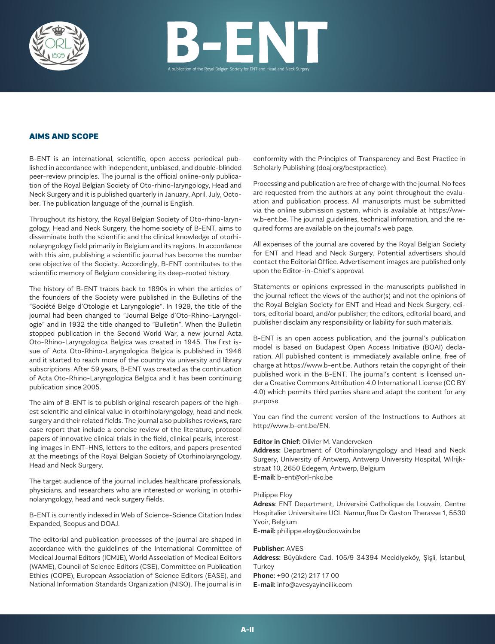



## AIMS AND SCOPE

B-ENT is an international, scientific, open access periodical published in accordance with independent, unbiased, and double-blinded peer-review principles. The journal is the official online-only publication of the Royal Belgian Society of Oto-rhino-laryngology, Head and Neck Surgery and it is published quarterly in January, April, July, October. The publication language of the journal is English.

Throughout its history, the Royal Belgian Society of Oto-rhino-laryngology, Head and Neck Surgery, the home society of B-ENT, aims to disseminate both the scientific and the clinical knowledge of otorhinolaryngology field primarily in Belgium and its regions. In accordance with this aim, publishing a scientific journal has become the number one objective of the Society. Accordingly, B-ENT contributes to the scientific memory of Belgium considering its deep-rooted history.

The history of B-ENT traces back to 1890s in when the articles of the founders of the Society were published in the Bulletins of the "Société Belge d'Otologie et Laryngologie". In 1929, the title of the journal had been changed to "Journal Belge d'Oto-Rhino-Laryngologie" and in 1932 the title changed to "Bulletin". When the Bulletin stopped publication in the Second World War, a new journal Acta Oto-Rhino-Laryngologica Belgica was created in 1945. The first issue of Acta Oto-Rhino-Laryngologica Belgica is published in 1946 and it started to reach more of the country via university and library subscriptions. After 59 years, B-ENT was created as the continuation of Acta Oto-Rhino-Laryngologica Belgica and it has been continuing publication since 2005.

The aim of B-ENT is to publish original research papers of the highest scientific and clinical value in otorhinolaryngology, head and neck surgery and their related fields. The journal also publishes reviews, rare case report that include a concise review of the literature, protocol papers of innovative clinical trials in the field, clinical pearls, interesting images in ENT-HNS, letters to the editors, and papers presented at the meetings of the Royal Belgian Society of Otorhinolaryngology, Head and Neck Surgery.

The target audience of the journal includes healthcare professionals, physicians, and researchers who are interested or working in otorhinolaryngology, head and neck surgery fields.

B-ENT is currently indexed in Web of Science-Science Citation Index Expanded, Scopus and DOAJ.

The editorial and publication processes of the journal are shaped in accordance with the guidelines of the International Committee of Medical Journal Editors (ICMJE), World Association of Medical Editors (WAME), Council of Science Editors (CSE), Committee on Publication Ethics (COPE), European Association of Science Editors (EASE), and National Information Standards Organization (NISO). The journal is in conformity with the Principles of Transparency and Best Practice in Scholarly Publishing (doaj.org/bestpractice).

Processing and publication are free of charge with the journal. No fees are requested from the authors at any point throughout the evaluation and publication process. All manuscripts must be submitted via the online submission system, which is available at https://www.b-ent.be. The journal guidelines, technical information, and the required forms are available on the journal's web page.

All expenses of the journal are covered by the Royal Belgian Society for ENT and Head and Neck Surgery. Potential advertisers should contact the Editorial Office. Advertisement images are published only upon the Editor-in-Chief's approval.

Statements or opinions expressed in the manuscripts published in the journal reflect the views of the author(s) and not the opinions of the Royal Belgian Society for ENT and Head and Neck Surgery, editors, editorial board, and/or publisher; the editors, editorial board, and publisher disclaim any responsibility or liability for such materials.

B-ENT is an open access publication, and the journal's publication model is based on Budapest Open Access Initiative (BOAI) declaration. All published content is immediately available online, free of charge at https://www.b-ent.be. Authors retain the copyright of their published work in the B-ENT. The journal's content is licensed under a Creative Commons Attribution 4.0 International License (CC BY 4.0) which permits third parties share and adapt the content for any purpose.

You can find the current version of the Instructions to Authors at http://www.b-ent.be/EN.

#### **Editor in Chief:** Olivier M. Vanderveken

**Address:** Department of Otorhinolaryngology and Head and Neck Surgery, University of Antwerp, Antwerp University Hospital, Wilrijkstraat 10, 2650 Edegem, Antwerp, Belgium **E-mail:** b-ent@orl-nko.be

#### Philippe Eloy

**Adress**: ENT Department, Université Catholique de Louvain, Centre Hospitalier Universitaire UCL Namur,Rue Dr Gaston Therasse 1, 5530 Yvoir, Belgium

**E-mail:** philippe.eloy@uclouvain.be

#### **Publisher:** AVES

**Address:** Büyükdere Cad. 105/9 34394 Mecidiyeköy, Şişli, İstanbul, **Turkey Phone:** +90 (212) 217 17 00 **E-mail:** info@avesyayincilik.com